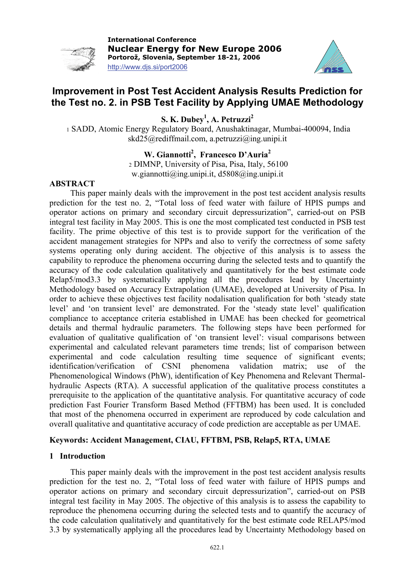

**International Conference Nuclear Energy for New Europe 2006 Portorož, Slovenia, September 18-21, 2006**  http://www.djs.si/port2006



# **Improvement in Post Test Accident Analysis Results Prediction for the Test no. 2. in PSB Test Facility by Applying UMAE Methodology**

**S. K. Dubey1 , A. Petruzzi<sup>2</sup>** 

1 SADD, Atomic Energy Regulatory Board, Anushaktinagar, Mumbai-400094, India [skd25@rediffmail.com,](mailto:skd25@rediffmail.com) [a.petruzzi@ing.unipi.it](mailto:a.petruzzi@ing.uinipi.it)

# W. Giannotti<sup>2</sup>, Francesco D'Auria<sup>2</sup>

2 DIMNP, University of Pisa, Pisa, Italy, 56100 [w.giannotti@ing.unipi.it,](mailto:w.giannotti@ing.unipi.it) [d5808@ing.unipi.it](mailto:d5808@ing.unipi.it)

### **ABSTRACT**

 This paper mainly deals with the improvement in the post test accident analysis results prediction for the test no. 2, "Total loss of feed water with failure of HPIS pumps and operator actions on primary and secondary circuit depressurization", carried-out on PSB integral test facility in May 2005. This is one the most complicated test conducted in PSB test facility. The prime objective of this test is to provide support for the verification of the accident management strategies for NPPs and also to verify the correctness of some safety systems operating only during accident. The objective of this analysis is to assess the capability to reproduce the phenomena occurring during the selected tests and to quantify the accuracy of the code calculation qualitatively and quantitatively for the best estimate code Relap5/mod3.3 by systematically applying all the procedures lead by Uncertainty Methodology based on Accuracy Extrapolation (UMAE), developed at University of Pisa. In order to achieve these objectives test facility nodalisation qualification for both 'steady state level' and 'on transient level' are demonstrated. For the 'steady state level' qualification compliance to acceptance criteria established in UMAE has been checked for geometrical details and thermal hydraulic parameters. The following steps have been performed for evaluation of qualitative qualification of 'on transient level': visual comparisons between experimental and calculated relevant parameters time trends; list of comparison between experimental and code calculation resulting time sequence of significant events; identification/verification of CSNI phenomena validation matrix; use of the Phenomenological Windows (PhW), identification of Key Phenomena and Relevant Thermalhydraulic Aspects (RTA). A successful application of the qualitative process constitutes a prerequisite to the application of the quantitative analysis. For quantitative accuracy of code prediction Fast Fourier Transform Based Method (FFTBM) has been used. It is concluded that most of the phenomena occurred in experiment are reproduced by code calculation and overall qualitative and quantitative accuracy of code prediction are acceptable as per UMAE.

### **Keywords: Accident Management, CIAU, FFTBM, PSB, Relap5, RTA, UMAE**

# **1 Introduction**

 This paper mainly deals with the improvement in the post test accident analysis results prediction for the test no. 2, "Total loss of feed water with failure of HPIS pumps and operator actions on primary and secondary circuit depressurization", carried-out on PSB integral test facility in May 2005. The objective of this analysis is to assess the capability to reproduce the phenomena occurring during the selected tests and to quantify the accuracy of the code calculation qualitatively and quantitatively for the best estimate code RELAP5/mod 3.3 by systematically applying all the procedures lead by Uncertainty Methodology based on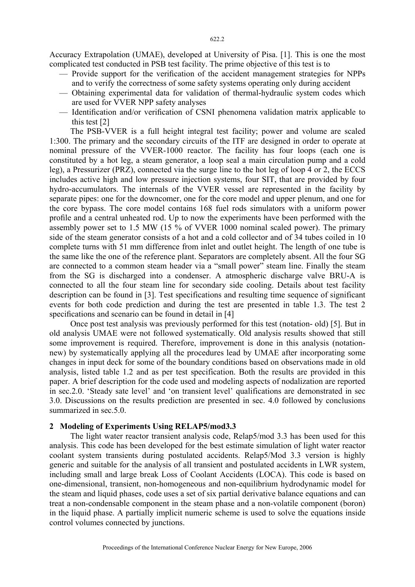Accuracy Extrapolation (UMAE), developed at University of Pisa. [1]. This is one the most complicated test conducted in PSB test facility. The prime objective of this test is to

- Provide support for the verification of the accident management strategies for NPPs and to verify the correctness of some safety systems operating only during accident
- Obtaining experimental data for validation of thermal-hydraulic system codes which are used for VVER NPP safety analyses
- Identification and/or verification of CSNI phenomena validation matrix applicable to this test [2]

 The PSB-VVER is a full height integral test facility; power and volume are scaled 1:300. The primary and the secondary circuits of the ITF are designed in order to operate at nominal pressure of the VVER-1000 reactor. The facility has four loops (each one is constituted by a hot leg, a steam generator, a loop seal a main circulation pump and a cold leg), a Pressurizer (PRZ), connected via the surge line to the hot leg of loop 4 or 2, the ECCS includes active high and low pressure injection systems, four SIT, that are provided by four hydro-accumulators. The internals of the VVER vessel are represented in the facility by separate pipes: one for the downcomer, one for the core model and upper plenum, and one for the core bypass. The core model contains 168 fuel rods simulators with a uniform power profile and a central unheated rod. Up to now the experiments have been performed with the assembly power set to 1.5 MW (15 % of VVER 1000 nominal scaled power). The primary side of the steam generator consists of a hot and a cold collector and of 34 tubes coiled in 10 complete turns with 51 mm difference from inlet and outlet height. The length of one tube is the same like the one of the reference plant. Separators are completely absent. All the four SG are connected to a common steam header via a "small power" steam line. Finally the steam from the SG is discharged into a condenser. A atmospheric discharge valve BRU-A is connected to all the four steam line for secondary side cooling. Details about test facility description can be found in [3]. Test specifications and resulting time sequence of significant events for both code prediction and during the test are presented in table 1.3. The test 2 specifications and scenario can be found in detail in [4]

 Once post test analysis was previously performed for this test (notation- old) [5]. But in old analysis UMAE were not followed systematically. Old analysis results showed that still some improvement is required. Therefore, improvement is done in this analysis (notationnew) by systematically applying all the procedures lead by UMAE after incorporating some changes in input deck for some of the boundary conditions based on observations made in old analysis, listed table 1.2 and as per test specification. Both the results are provided in this paper. A brief description for the code used and modeling aspects of nodalization are reported in sec.2.0. 'Steady sate level' and 'on transient level' qualifications are demonstrated in sec 3.0. Discussions on the results prediction are presented in sec. 4.0 followed by conclusions summarized in sec.5.0.

#### **2 Modeling of Experiments Using RELAP5/mod3.3**

 The light water reactor transient analysis code, Relap5/mod 3.3 has been used for this analysis. This code has been developed for the best estimate simulation of light water reactor coolant system transients during postulated accidents. Relap5/Mod 3.3 version is highly generic and suitable for the analysis of all transient and postulated accidents in LWR system, including small and large break Loss of Coolant Accidents (LOCA). This code is based on one-dimensional, transient, non-homogeneous and non-equilibrium hydrodynamic model for the steam and liquid phases, code uses a set of six partial derivative balance equations and can treat a non-condensable component in the steam phase and a non-volatile component (boron) in the liquid phase. A partially implicit numeric scheme is used to solve the equations inside control volumes connected by junctions.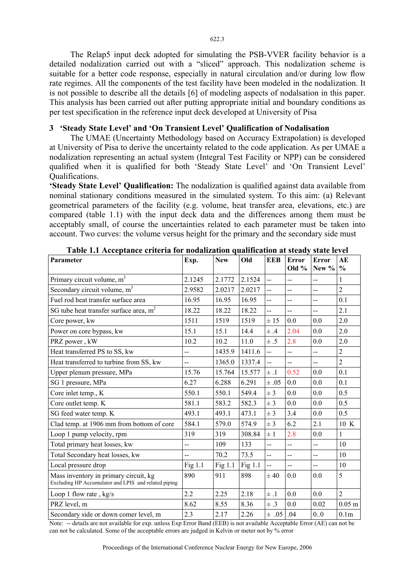The Relap5 input deck adopted for simulating the PSB-VVER facility behavior is a detailed nodalization carried out with a "sliced" approach. This nodalization scheme is suitable for a better code response, especially in natural circulation and/or during low flow rate regimes. All the components of the test facility have been modeled in the nodalization. It is not possible to describe all the details [6] of modeling aspects of nodalsation in this paper. This analysis has been carried out after putting appropriate initial and boundary conditions as per test specification in the reference input deck developed at University of Pisa

#### **3 'Steady State Level' and 'On Transient Level' Qualification of Nodalisation**

 The UMAE (Uncertainty Methodology based on Accuracy Extrapolation) is developed at University of Pisa to derive the uncertainty related to the code application. As per UMAE a nodalization representing an actual system (Integral Test Facility or NPP) can be considered qualified when it is qualified for both 'Steady State Level' and 'On Transient Level' Qualifications.

**'Steady State Level' Qualification:** The nodalization is qualified against data available from nominal stationary conditions measured in the simulated system. To this aim: (a) Relevant geometrical parameters of the facility (e.g. volume, heat transfer area, elevations, etc.) are compared (table 1.1) with the input deck data and the differences among them must be acceptably small, of course the uncertainties related to each parameter must be taken into account. Two curves: the volume versus height for the primary and the secondary side must

| Parameter                                                                                     | Exp.           | <b>New</b> | Old       | <b>EEB</b>               | Error<br>Old $%$         | Error<br>New $\%$ | AE<br>$\frac{0}{0}$ |
|-----------------------------------------------------------------------------------------------|----------------|------------|-----------|--------------------------|--------------------------|-------------------|---------------------|
| Primary circuit volume, m <sup>3</sup>                                                        | 2.1245         | 2.1772     | 2.1524    | $\ddotsc$                | --                       | --                | 1                   |
| Secondary circuit volume, m <sup>3</sup>                                                      | 2.9582         | 2.0217     | 2.0217    | $\overline{\phantom{a}}$ | $\overline{a}$           | --                | $\overline{2}$      |
| Fuel rod heat transfer surface area                                                           | 16.95          | 16.95      | 16.95     | $-$                      | $\overline{\phantom{a}}$ | --                | 0.1                 |
| SG tube heat transfer surface area, m <sup>2</sup>                                            | 18.22          | 18.22      | 18.22     | $\ddotsc$                | $\overline{a}$           | $-$               | 2.1                 |
| Core power, kw                                                                                | 1511           | 1519       | 1519      | ± 15                     | 0.0                      | 0.0               | 2.0                 |
| Power on core bypass, kw                                                                      | 15.1           | 15.1       | 14.4      | ±.4                      | 2.04                     | 0.0               | 2.0                 |
| PRZ power, kW                                                                                 | 10.2           | 10.2       | 11.0      | $\pm .5$                 | 2.8                      | 0.0               | 2.0                 |
| Heat transferred PS to SS, kw                                                                 | $\overline{a}$ | 1435.9     | 1411.6    | $-$                      | --                       | $-$               | $\overline{2}$      |
| Heat transferred to turbine from SS, kw                                                       |                | 1365.0     | 1337.4    | --                       |                          | $-$               | $\overline{2}$      |
| Upper plenum pressure, MPa                                                                    | 15.76          | 15.764     | 15.577    | $\pm .1$                 | 0.52                     | 0.0               | 0.1                 |
| SG 1 pressure, MPa                                                                            | 6.27           | 6.288      | 6.291     | $\pm .05$                | 0.0                      | 0.0               | 0.1                 |
| Core inlet temp., K                                                                           | 550.1          | 550.1      | 549.4     | ± 3                      | 0.0                      | 0.0               | 0.5                 |
| Core outlet temp. K                                                                           | 581.1          | 583.2      | 582.3     | ± 3                      | 0.0                      | 0.0               | 0.5                 |
| SG feed water temp. K                                                                         | 493.1          | 493.1      | 473.1     | $±$ 3                    | 3.4                      | 0.0               | 0.5                 |
| Clad temp. at 1906 mm from bottom of core                                                     | 584.1          | 579.0      | 574.9     | $\pm$ 3                  | 6.2                      | 2.1               | 10 K                |
| Loop 1 pump velocity, rpm                                                                     | 319            | 319        | 308.84    | $\pm$ 1                  | 2.8                      | 0.0               | $\mathbf{1}$        |
| Total primary heat losses, kw                                                                 | $\overline{a}$ | 109        | 133       | $\overline{a}$           | --                       | --                | 10                  |
| Total Secondary heat losses, kw                                                               | $\overline{a}$ | 70.2       | 73.5      | <u>.,</u>                | --                       | --                | 10                  |
| Local pressure drop                                                                           | Fig 1.1        | Fig 1.1    | Fig $1.1$ | $\overline{\phantom{a}}$ | $-$                      | --                | 10                  |
| Mass inventory in primary circuit, kg<br>Excluding HP Accumulator and LPIS and related piping | 890            | 911        | 898       | $\pm 40$                 | 0.0                      | 0.0               | 5                   |
| Loop 1 flow rate, $kg/s$                                                                      | 2.2            | 2.25       | 2.18      | $\pm$ .1                 | 0.0                      | 0.0               | $\overline{2}$      |
| PRZ level, m                                                                                  | 8.62           | 8.55       | 8.36      | $\pm .3$                 | 0.0                      | 0.02              | $0.05$ m            |
| Secondary side or down comer level, m                                                         | 2.3            | 2.17       | 2.26      | $\pm .05$ .04            |                          | 0.0               | 0.1 <sub>m</sub>    |

**Table 1.1 Acceptance criteria for nodalization qualification at steady state level** 

Note: -- details are not available for exp. unless Exp Error Band (EEB) is not available Acceptable Error (AE) can not be can not be calculated. Some of the acceptable errors are judged in Kelvin or meter not by % error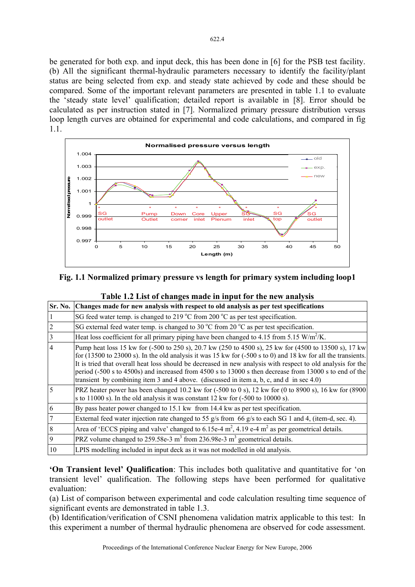be generated for both exp. and input deck, this has been done in [6] for the PSB test facility. (b) All the significant thermal-hydraulic parameters necessary to identify the facility/plant status are being selected from exp. and steady state achieved by code and these should be compared. Some of the important relevant parameters are presented in table 1.1 to evaluate the 'steady state level' qualification; detailed report is available in [8]. Error should be calculated as per instruction stated in [7]. Normalized primary pressure distribution versus loop length curves are obtained for experimental and code calculations, and compared in fig 1.1.



# **Fig. 1.1 Normalized primary pressure vs length for primary system including loop1**

|                | Sr. No. Changes made for new analysis with respect to old analysis as per test specifications                                                                                                                                                                                                                                                                                                                                                                                                                                                                                |
|----------------|------------------------------------------------------------------------------------------------------------------------------------------------------------------------------------------------------------------------------------------------------------------------------------------------------------------------------------------------------------------------------------------------------------------------------------------------------------------------------------------------------------------------------------------------------------------------------|
| $\mathbf{1}$   | SG feed water temp. is changed to 219 °C from 200 °C as per test specification.                                                                                                                                                                                                                                                                                                                                                                                                                                                                                              |
| $\overline{c}$ | SG external feed water temp. is changed to 30 $^{\circ}$ C from 20 $^{\circ}$ C as per test specification.                                                                                                                                                                                                                                                                                                                                                                                                                                                                   |
| $\overline{3}$ | Heat loss coefficient for all primary piping have been changed to 4.15 from 5.15 W/m <sup>2</sup> /K.                                                                                                                                                                                                                                                                                                                                                                                                                                                                        |
| $\overline{4}$ | Pump heat loss 15 kw for (-500 to 250 s), 20.7 kw (250 to 4500 s), 25 kw for (4500 to 13500 s), 17 kw<br>for $(13500 \text{ to } 23000 \text{ s})$ . In the old analysis it was 15 kw for $(-500 \text{ s to } 0)$ and 18 kw for all the transients.<br>It is tried that overall heat loss should be decreased in new analysis with respect to old analysis for the<br>period (-500 s to 4500s) and increased from 4500 s to 13000 s then decrease from 13000 s to end of the<br>transient by combining item 3 and 4 above. (discussed in item a, b, c, and d in sec $4.0$ ) |
| 5              | PRZ heater power has been changed $10.2$ kw for $(-500 \text{ to } 0 \text{ s})$ , $12$ kw for $(0 \text{ to } 8900 \text{ s})$ , $16$ kw for $(8900 \text{ s})$<br>s to 11000 s). In the old analysis it was constant 12 kw for $(-500 \text{ to } 10000 \text{ s})$ .                                                                                                                                                                                                                                                                                                      |
| 6              | By pass heater power changed to 15.1 kw from 14.4 kw as per test specification.                                                                                                                                                                                                                                                                                                                                                                                                                                                                                              |
| $\overline{7}$ | External feed water injection rate changed to 55 g/s from 66 g/s to each SG 1 and 4, (item-d, sec. 4).                                                                                                                                                                                                                                                                                                                                                                                                                                                                       |
| 8              | Area of 'ECCS piping and valve' changed to 6.15e-4 $m^2$ , 4.19 e-4 $m^2$ as per geometrical details.                                                                                                                                                                                                                                                                                                                                                                                                                                                                        |
| 9              | PRZ volume changed to 259.58e-3 $m3$ from 236.98e-3 $m3$ geometrical details.                                                                                                                                                                                                                                                                                                                                                                                                                                                                                                |
| 10             | LPIS modelling included in input deck as it was not modelled in old analysis.                                                                                                                                                                                                                                                                                                                                                                                                                                                                                                |

# **Table 1.2 List of changes made in input for the new analysis**

**'On Transient level' Qualification**: This includes both qualitative and quantitative for 'on transient level' qualification. The following steps have been performed for qualitative evaluation:

(a) List of comparison between experimental and code calculation resulting time sequence of significant events are demonstrated in table 1.3.

(b) Identification/verification of CSNI phenomena validation matrix applicable to this test: In this experiment a number of thermal hydraulic phenomena are observed for code assessment.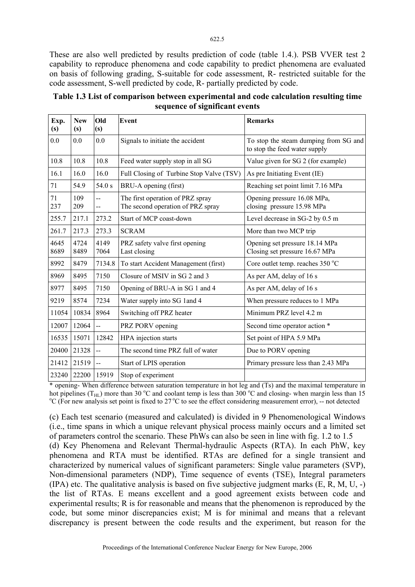These are also well predicted by results prediction of code (table 1.4.). PSB VVER test 2 capability to reproduce phenomena and code capability to predict phenomena are evaluated on basis of following grading, S-suitable for code assessment, R- restricted suitable for the code assessment, S-well predicted by code, R- partially predicted by code.

| Exp.<br>(s)  | <b>New</b><br>(s) | Old<br>(s)            | Event                                                                 | <b>Remarks</b>                                                         |
|--------------|-------------------|-----------------------|-----------------------------------------------------------------------|------------------------------------------------------------------------|
| 0.0          | 0.0               | 0.0                   | Signals to initiate the accident                                      | To stop the steam dumping from SG and<br>to stop the feed water supply |
| 10.8         | 10.8              | 10.8                  | Feed water supply stop in all SG                                      | Value given for SG 2 (for example)                                     |
| 16.1         | 16.0              | 16.0                  | Full Closing of Turbine Stop Valve (TSV)                              | As pre Initiating Event (IE)                                           |
| 71           | 54.9              | 54.0 s                | BRU-A opening (first)                                                 | Reaching set point limit 7.16 MPa                                      |
| 71<br>237    | 109<br>209        | $-$<br>$\overline{a}$ | The first operation of PRZ spray<br>The second operation of PRZ spray | Opening pressure 16.08 MPa,<br>closing pressure 15.98 MPa              |
| 255.7        | 217.1             | 273.2                 | Start of MCP coast-down                                               | Level decrease in SG-2 by 0.5 m                                        |
| 261.7        | 217.3             | 273.3                 | <b>SCRAM</b>                                                          | More than two MCP trip                                                 |
| 4645<br>8689 | 4724<br>8489      | 4149<br>7064          | PRZ safety valve first opening<br>Last closing                        | Opening set pressure 18.14 MPa<br>Closing set pressure 16.67 MPa       |
| 8992         | 8479              | 7134.8                | To start Accident Management (first)                                  | Core outlet temp. reaches 350 °C                                       |
| 8969         | 8495              | 7150                  | Closure of MSIV in SG 2 and 3                                         | As per AM, delay of 16 s                                               |
| 8977         | 8495              | 7150                  | Opening of BRU-A in SG 1 and 4                                        | As per AM, delay of 16 s                                               |
| 9219         | 8574              | 7234                  | Water supply into SG 1 and 4                                          | When pressure reduces to 1 MPa                                         |
| 11054        | 10834             | 8964                  | Switching off PRZ heater                                              | Minimum PRZ level 4.2 m                                                |
| 12007        | 12064             | $\overline{a}$        | PRZ PORV opening                                                      | Second time operator action *                                          |
| 16535        | 15071             | 12842                 | HPA injection starts                                                  | Set point of HPA 5.9 MPa                                               |
| 20400        | 21328             | $\overline{a}$        | The second time PRZ full of water                                     | Due to PORV opening                                                    |
| 21412        | 21519             | $\overline{a}$        | Start of LPIS operation                                               | Primary pressure less than 2.43 MPa                                    |
| 23240        | 22200             | 15919                 | Stop of experiment                                                    |                                                                        |

**Table 1.3 List of comparison between experimental and code calculation resulting time sequence of significant events** 

\* opening- When difference between saturation temperature in hot leg and (Ts) and the maximal temperature in hot pipelines ( $T_{\text{HL}}$ ) more than 30 °C and coolant temp is less than 300 °C and closing- when margin less than 15 °C ( $F_{\text{C}}$ ) and  $F_{\text{C}}$ ) are proportional temp is less than 15 °C ( $F_{\text{C}}$ ) and  $F_{\text{C}}$ ) and  $F$ C (For new analysis set point is fixed to  $27^{\circ}$ C to see the effect considering measurement error), -- not detected

(c) Each test scenario (measured and calculated) is divided in 9 Phenomenological Windows (i.e., time spans in which a unique relevant physical process mainly occurs and a limited set of parameters control the scenario. These PhWs can also be seen in line with fig. 1.2 to 1.5

(d) Key Phenomena and Relevant Thermal-hydraulic Aspects (RTA). In each PhW, key phenomena and RTA must be identified. RTAs are defined for a single transient and characterized by numerical values of significant parameters: Single value parameters (SVP), Non-dimensional parameters (NDP), Time sequence of events (TSE), Integral parameters  $(IPA)$  etc. The qualitative analysis is based on five subjective judgment marks  $(E, R, M, U, -)$ the list of RTAs. E means excellent and a good agreement exists between code and experimental results; R is for reasonable and means that the phenomenon is reproduced by the code, but some minor discrepancies exist; M is for minimal and means that a relevant discrepancy is present between the code results and the experiment, but reason for the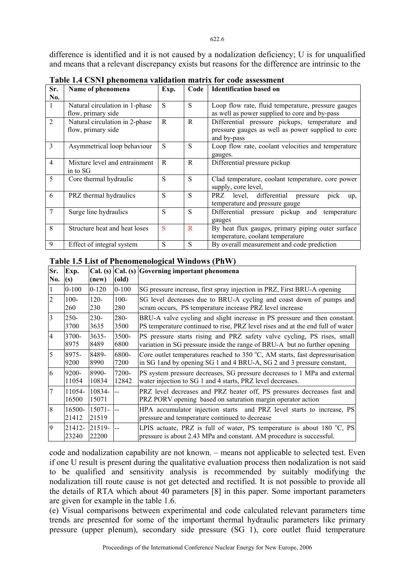difference is identified and it is not caused by a nodalization deficiency; U is for unqualified and means that a relevant discrepancy exists but reasons for the difference are intrinsic to the

| Sr.            | Name of phenomena                                    | Exp. | Code | <b>Identification based on</b>                                                                                     |  |  |  |  |  |
|----------------|------------------------------------------------------|------|------|--------------------------------------------------------------------------------------------------------------------|--|--|--|--|--|
| No.            |                                                      |      |      |                                                                                                                    |  |  |  |  |  |
| $\mathbf{1}$   | Natural circulation in 1-phase<br>flow, primary side | S    | S    | Loop flow rate, fluid temperature, pressure gauges<br>as well as power supplied to core and by-pass                |  |  |  |  |  |
| $\overline{2}$ | Natural circulation in 2-phase<br>flow, primary side | R    | R    | Differential pressure pickups, temperature and<br>pressure gauges as well as power supplied to core<br>and by-pass |  |  |  |  |  |
| 3              | Asymmetrical loop behaviour                          | S    | S    | Loop flow rate, coolant velocities and temperature<br>gauges.                                                      |  |  |  |  |  |
| $\overline{4}$ | Mixture level and entrainment<br>in to SG            | R    | R    | Differential pressure pickup                                                                                       |  |  |  |  |  |
| 5              | Core thermal hydraulic                               | S    | S    | Clad temperature, coolant temperature, core power<br>supply, core level,                                           |  |  |  |  |  |
| 6              | PRZ thermal hydraulics                               | S    | S    | PRZ level, differential pressure<br>pick<br>up,<br>temperature and pressure gauge                                  |  |  |  |  |  |
| 7              | Surge line hydraulics                                | S    | S    | Differential pressure pickup<br>and<br>temperature<br>gauges                                                       |  |  |  |  |  |
| 8              | Structure heat and heat loses                        | S    | R    | By heat flux gauges, primary piping outer surface<br>temperature, coolant temperature                              |  |  |  |  |  |
| 9              | Effect of integral system                            | S    | S    | By overall measurement and code prediction                                                                         |  |  |  |  |  |

**Table 1.4 CSNI phenomena validation matrix for code assessment** 

### **Table 1.5 List of Phenomenological Windows (PhW)**

| Sr.<br>No.     | Exp.<br>(s)     | Cal. (s)<br>(new)  | (old)     | Cal. (s) Governing important phenomena                                                                                                                   |
|----------------|-----------------|--------------------|-----------|----------------------------------------------------------------------------------------------------------------------------------------------------------|
|                | $0 - 100$       | $0-120$            | $0 - 100$ | SG pressure increase, first spray injection in PRZ, First BRU-A opening                                                                                  |
| $\overline{2}$ | $100 -$         | $120 -$            | $100 -$   | SG level decreases due to BRU-A cycling and coast down of pumps and                                                                                      |
|                | 260             | 230                | 280       | scram occurs, PS temperature increase PRZ level increase                                                                                                 |
| 3              | $250 -$         | $230-$             | 280-      | BRU-A valve cycling and slight increase in PS pressure and then constant.                                                                                |
|                | 3700            | 3635               | 3500      | PS temperature continued to rise, PRZ level rises and at the end full of water                                                                           |
| 4              | 3700-           | $3635 -$           | 3500-     | PS pressure starts rising and PRZ safety valve cycling, PS rises, small                                                                                  |
|                | 8975            | 8489               | 6800      | variation in SG pressure inside the range of BRU-A but no further opening                                                                                |
| 15             | 8975-           | 8489-              | 6800-     | Core outlet temperatures reached to $350\text{ °C}$ , AM starts, fast depressurisation                                                                   |
|                | 9200            | 8990               | 7200      | in SG 1 and by opening SG 1 and 4 BRU-A, SG 2 and 3 pressure constant,                                                                                   |
| 6              | 9200-           | 8990-              | 7200-     | PS system pressure decreases, SG pressure decreases to 1 MPa and external                                                                                |
|                | 11054           | 10834              | 12842     | water injection to SG 1 and 4 starts, PRZ level decreases.                                                                                               |
| 7              | 11054-<br>16500 | 10834-<br>15071    |           | PRZ level decreases and PRZ heater off, PS pressures decreases fast and<br>PRZ PORV opening based on saturation margin operator action                   |
| 8              | 16500-<br>21412 | $15071 -$<br>21519 |           | HPA accumulator injection starts and PRZ level starts to increase, PS<br>pressure and temperature continued to decrease                                  |
| $\overline{Q}$ | 21412-<br>23240 | 21519-<br>22200    |           | LPIS actuate, PRZ is full of water, PS temperature is about $180 \degree C$ , PS<br>pressure is about 2.43 MPa and constant. AM procedure is successful. |

code and nodalization capability are not known. – means not applicable to selected test. Even if one U result is present during the qualitative evaluation process then nodalization is not said to be qualified and sensitivity analysis is recommended by suitably modifying the nodalization till route cause is not get detected and rectified. It is not possible to provide all the details of RTA which about 40 parameters [8] in this paper. Some important parameters are given for example in the table 1.6.

(e) Visual comparisons between experimental and code calculated relevant parameters time trends are presented for some of the important thermal hydraulic parameters like primary pressure (upper plenum), secondary side pressure (SG 1), core outlet fluid temperature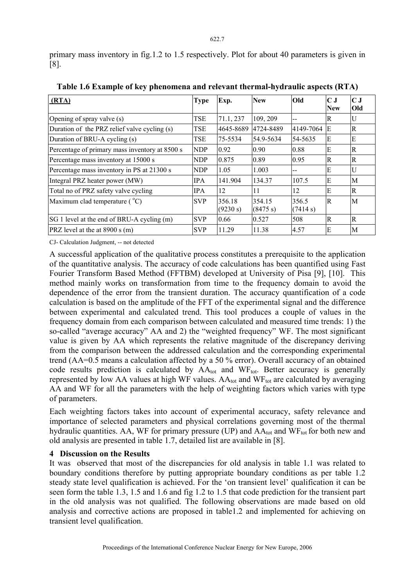primary mass inventory in fig.1.2 to 1.5 respectively. Plot for about 40 parameters is given in [8].

| (RTA)                                          | <b>Type</b> | Exp.               | <b>New</b>         | Old               | $\bf C$ J<br><b>New</b> | $\mathbf C$ J<br>Old |
|------------------------------------------------|-------------|--------------------|--------------------|-------------------|-------------------------|----------------------|
| Opening of spray valve (s)                     | TSE         | 71.1, 237          | 109, 209           | --                | R                       | U                    |
| Duration of the PRZ relief valve cycling (s)   | <b>TSE</b>  | 4645-8689          | 4724-8489          | 4149-7064         | E                       | $\mathbb{R}$         |
| Duration of BRU-A cycling (s)                  | TSE         | 75-5534            | 54.9-5634          | 54-5635           | E                       | E                    |
| Percentage of primary mass inventory at 8500 s | <b>NDP</b>  | 0.92               | 0.90               | 0.88              | E                       | $\mathbb{R}$         |
| Percentage mass inventory at 15000 s           | <b>NDP</b>  | 0.875              | 0.89               | 0.95              | $\mathbb R$             | R                    |
| Percentage mass inventory in PS at 21300 s     | <b>NDP</b>  | 1.05               | 1.003              |                   | Ε                       | U                    |
| Integral PRZ heater power (MW)                 | <b>IPA</b>  | 141.904            | 134.37             | 107.5             | E                       | М                    |
| Total no of PRZ safety valve cycling           | <b>IPA</b>  | 12                 | 11                 | 12                | E                       | $\mathbf R$          |
| Maximum clad temperature ( °C)                 | <b>SVP</b>  | 356.18<br>(9230 s) | 354.15<br>(8475 s) | 356.5<br>(7414 s) | $\mathbb R$             | M                    |
| SG 1 level at the end of BRU-A cycling (m)     | <b>SVP</b>  | 0.66               | 0.527              | 508               | R                       | R                    |
| PRZ level at the at $8900 s(m)$                | <b>SVP</b>  | 11.29              | 11.38              | 4.57              | E                       | M                    |

**Table 1.6 Example of key phenomena and relevant thermal-hydraulic aspects (RTA)** 

CJ- Calculation Judgment, -- not detected

A successful application of the qualitative process constitutes a prerequisite to the application of the quantitative analysis. The accuracy of code calculations has been quantified using Fast Fourier Transform Based Method (FFTBM) developed at University of Pisa [9], [10]. This method mainly works on transformation from time to the frequency domain to avoid the dependence of the error from the transient duration. The accuracy quantification of a code calculation is based on the amplitude of the FFT of the experimental signal and the difference between experimental and calculated trend. This tool produces a couple of values in the frequency domain from each comparison between calculated and measured time trends: 1) the so-called "average accuracy" AA and 2) the "weighted frequency" WF. The most significant value is given by AA which represents the relative magnitude of the discrepancy deriving from the comparison between the addressed calculation and the corresponding experimental trend (AA=0.5 means a calculation affected by a 50 % error). Overall accuracy of an obtained code results prediction is calculated by  $AA_{tot}$  and WF<sub>tot</sub>. Better accuracy is generally represented by low AA values at high WF values.  $AA_{tot}$  and WF<sub>tot</sub> are calculated by averaging AA and WF for all the parameters with the help of weighting factors which varies with type of parameters.

Each weighting factors takes into account of experimental accuracy, safety relevance and importance of selected parameters and physical correlations governing most of the thermal hydraulic quantities. AA, WF for primary pressure (UP) and  $AA_{tot}$  and WF<sub>tot</sub> for both new and old analysis are presented in table 1.7, detailed list are available in [8].

# **4 Discussion on the Results**

It was observed that most of the discrepancies for old analysis in table 1.1 was related to boundary conditions therefore by putting appropriate boundary conditions as per table 1.2 steady state level qualification is achieved. For the 'on transient level' qualification it can be seen form the table 1.3, 1.5 and 1.6 and fig 1.2 to 1.5 that code prediction for the transient part in the old analysis was not qualified. The following observations are made based on old analysis and corrective actions are proposed in table1.2 and implemented for achieving on transient level qualification.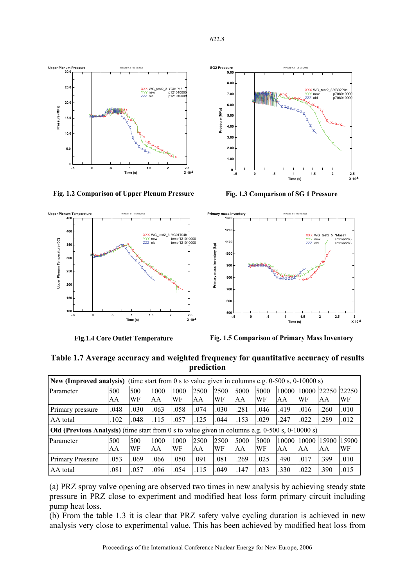



**Fig. 1.2 Comparison of Upper Plenum Pressure** 



**Fig.1.4 Core Outlet Temperature** 



**Fig. 1.3 Comparison of SG 1 Pressure** 



**Fig. 1.5 Comparison of Primary Mass Inventory** 

**Table 1.7 Average accuracy and weighted frequency for quantitative accuracy of results prediction** 

| (time start from 0 s to value given in columns e.g. $0-500$ s, $0-10000$ s)<br><b>New (Improved analysis)</b>                                                            |                                                                                              |           |            |            |            |            |            |             |             |             |                   |      |
|--------------------------------------------------------------------------------------------------------------------------------------------------------------------------|----------------------------------------------------------------------------------------------|-----------|------------|------------|------------|------------|------------|-------------|-------------|-------------|-------------------|------|
| Parameter                                                                                                                                                                | 500<br>AA                                                                                    | 500<br>WF | 1000<br>AA | 1000<br>WF | 2500<br>AA | 2500<br>WF | 5000<br>AA | 5000<br>WF  | 10000<br>AA | 10000<br>WF | 22250 22250<br>AA | WF   |
| Primary pressure                                                                                                                                                         | .048                                                                                         | .030      | .063       | .058       | .074       | .030       | .281       | .046        | .419        | .016        | .260              | .010 |
| AA total                                                                                                                                                                 | .102                                                                                         | .048      | .115       | .057       | .125       | .044       | .153       | .029        | .247        | .022        | .289              | .012 |
| Old (Previous Analysis) (time start from 0 s to value given in columns e.g. $0-500$ s, $0-10000$ s)                                                                      |                                                                                              |           |            |            |            |            |            |             |             |             |                   |      |
| 500<br>500<br>1000<br>1000<br>2500<br>2500<br>5000<br>5000<br>10000<br>10000 15900<br>Parameter<br>WF<br>WF<br>WF<br>WF<br>AA<br><b>AA</b><br>AA<br>AA<br>AA<br>AA<br>AA |                                                                                              |           |            |            |            |            |            | 15900<br>WF |             |             |                   |      |
| Primary Pressure                                                                                                                                                         | .053                                                                                         | .069      | .066       | .050       | .091       | .081       | .269       | .025        | .490        | .017        | .399              | .010 |
| AA total                                                                                                                                                                 | .033<br>.022<br>.015<br>.081<br>.057<br>.096<br>.054<br>.115<br>.049<br>.147<br>.330<br>.390 |           |            |            |            |            |            |             |             |             |                   |      |

<sup>(</sup>a) PRZ spray valve opening are observed two times in new analysis by achieving steady state pressure in PRZ close to experiment and modified heat loss form primary circuit including pump heat loss.

(b) From the table 1.3 it is clear that PRZ safety valve cycling duration is achieved in new analysis very close to experimental value. This has been achieved by modified heat loss from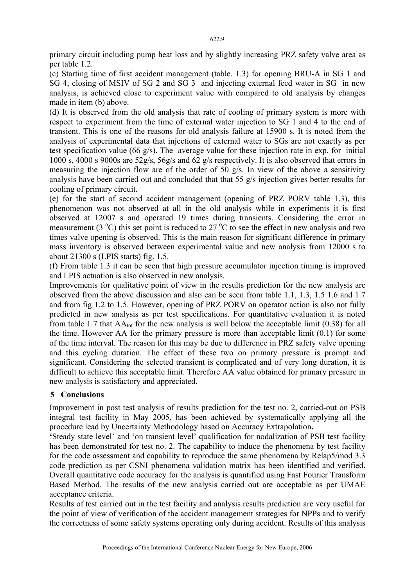primary circuit including pump heat loss and by slightly increasing PRZ safety valve area as per table 1.2.

(c) Starting time of first accident management (table. 1.3) for opening BRU-A in SG 1 and SG 4, closing of MSIV of SG 2 and SG 3 and injecting external feed water in SG in new analysis, is achieved close to experiment value with compared to old analysis by changes made in item (b) above.

(d) It is observed from the old analysis that rate of cooling of primary system is more with respect to experiment from the time of external water injection to SG 1 and 4 to the end of transient. This is one of the reasons for old analysis failure at 15900 s. It is noted from the analysis of experimental data that injections of external water to SGs are not exactly as per test specification value (66 g/s). The average value for these injection rate in exp. for initial 1000 s, 4000 s 9000s are 52g/s, 56g/s and 62 g/s respectively. It is also observed that errors in measuring the injection flow are of the order of 50 g/s. In view of the above a sensitivity analysis have been carried out and concluded that that 55 g/s injection gives better results for cooling of primary circuit.

(e) for the start of second accident management (opening of PRZ PORV table 1.3), this phenomenon was not observed at all in the old analysis while in experiments it is first observed at 12007 s and operated 19 times during transients. Considering the error in measurement  $(3^{\circ}C)$  this set point is reduced to  $27^{\circ}C$  to see the effect in new analysis and two times valve opening is observed. This is the main reason for significant difference in primary mass inventory is observed between experimental value and new analysis from 12000 s to about 21300 s (LPIS starts) fig. 1.5.

(f) From table 1.3 it can be seen that high pressure accumulator injection timing is improved and LPIS actuation is also observed in new analysis.

Improvements for qualitative point of view in the results prediction for the new analysis are observed from the above discussion and also can be seen from table 1.1, 1.3, 1.5 1.6 and 1.7 and from fig 1.2 to 1.5. However, opening of PRZ PORV on operator action is also not fully predicted in new analysis as per test specifications. For quantitative evaluation it is noted from table 1.7 that  $AA_{tot}$  for the new analysis is well below the acceptable limit (0.38) for all the time. However AA for the primary pressure is more than acceptable limit (0.1) for some of the time interval. The reason for this may be due to difference in PRZ safety valve opening and this cycling duration. The effect of these two on primary pressure is prompt and significant. Considering the selected transient is complicated and of very long duration, it is difficult to achieve this acceptable limit. Therefore AA value obtained for primary pressure in new analysis is satisfactory and appreciated.

# **5 Conclusions**

Improvement in post test analysis of results prediction for the test no. 2, carried-out on PSB integral test facility in May 2005, has been achieved by systematically applying all the procedure lead by Uncertainty Methodology based on Accuracy Extrapolation**.** 

**'**Steady state level' and 'on transient level' qualification for nodalization of PSB test facility has been demonstrated for test no. 2. The capability to induce the phenomena by test facility for the code assessment and capability to reproduce the same phenomena by Relap5/mod 3.3 code prediction as per CSNI phenomena validation matrix has been identified and verified. Overall quantitative code accuracy for the analysis is quantified using Fast Fourier Transform Based Method. The results of the new analysis carried out are acceptable as per UMAE acceptance criteria.

Results of test carried out in the test facility and analysis results prediction are very useful for the point of view of verification of the accident management strategies for NPPs and to verify the correctness of some safety systems operating only during accident. Results of this analysis